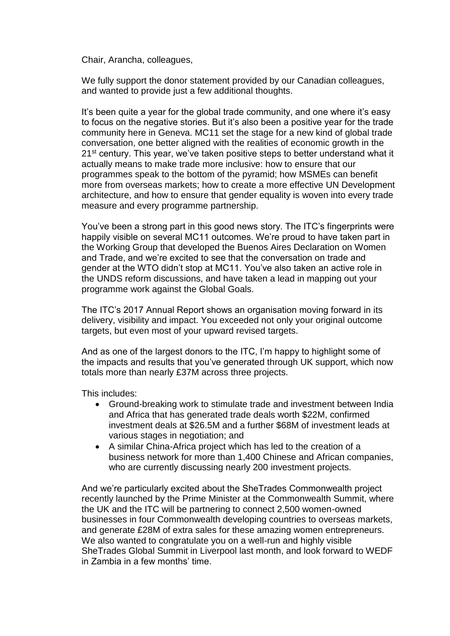Chair, Arancha, colleagues,

We fully support the donor statement provided by our Canadian colleagues, and wanted to provide just a few additional thoughts.

It's been quite a year for the global trade community, and one where it's easy to focus on the negative stories. But it's also been a positive year for the trade community here in Geneva. MC11 set the stage for a new kind of global trade conversation, one better aligned with the realities of economic growth in the 21<sup>st</sup> century. This year, we've taken positive steps to better understand what it actually means to make trade more inclusive: how to ensure that our programmes speak to the bottom of the pyramid; how MSMEs can benefit more from overseas markets; how to create a more effective UN Development architecture, and how to ensure that gender equality is woven into every trade measure and every programme partnership.

You've been a strong part in this good news story. The ITC's fingerprints were happily visible on several MC11 outcomes. We're proud to have taken part in the Working Group that developed the Buenos Aires Declaration on Women and Trade, and we're excited to see that the conversation on trade and gender at the WTO didn't stop at MC11. You've also taken an active role in the UNDS reform discussions, and have taken a lead in mapping out your programme work against the Global Goals.

The ITC's 2017 Annual Report shows an organisation moving forward in its delivery, visibility and impact. You exceeded not only your original outcome targets, but even most of your upward revised targets.

And as one of the largest donors to the ITC, I'm happy to highlight some of the impacts and results that you've generated through UK support, which now totals more than nearly £37M across three projects.

This includes:

- Ground-breaking work to stimulate trade and investment between India and Africa that has generated trade deals worth \$22M, confirmed investment deals at \$26.5M and a further \$68M of investment leads at various stages in negotiation; and
- A similar China-Africa project which has led to the creation of a business network for more than 1,400 Chinese and African companies, who are currently discussing nearly 200 investment projects.

And we're particularly excited about the SheTrades Commonwealth project recently launched by the Prime Minister at the Commonwealth Summit, where the UK and the ITC will be partnering to connect 2,500 women-owned businesses in four Commonwealth developing countries to overseas markets, and generate £28M of extra sales for these amazing women entrepreneurs. We also wanted to congratulate you on a well-run and highly visible SheTrades Global Summit in Liverpool last month, and look forward to WEDF in Zambia in a few months' time.